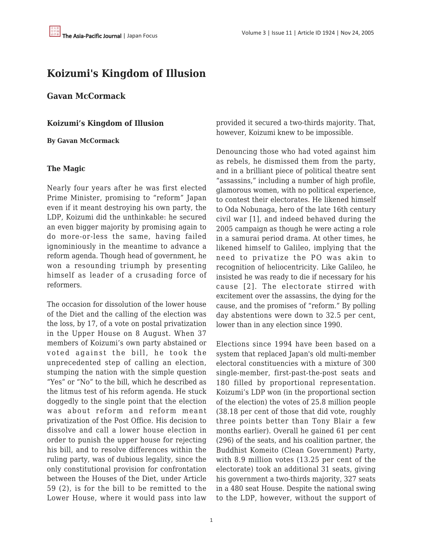# **Koizumi's Kingdom of Illusion**

**Gavan McCormack**

**Koizumi's Kingdom of Illusion**

**By Gavan McCormack**

#### **The Magic**

Nearly four years after he was first elected Prime Minister, promising to "reform" Japan even if it meant destroying his own party, the LDP, Koizumi did the unthinkable: he secured an even bigger majority by promising again to do more-or-less the same, having failed ignominiously in the meantime to advance a reform agenda. Though head of government, he won a resounding triumph by presenting himself as leader of a crusading force of reformers.

The occasion for dissolution of the lower house of the Diet and the calling of the election was the loss, by 17, of a vote on postal privatization in the Upper House on 8 August. When 37 members of Koizumi's own party abstained or voted against the bill, he took the unprecedented step of calling an election, stumping the nation with the simple question "Yes" or "No" to the bill, which he described as the litmus test of his reform agenda. He stuck doggedly to the single point that the election was about reform and reform meant privatization of the Post Office. His decision to dissolve and call a lower house election in order to punish the upper house for rejecting his bill, and to resolve differences within the ruling party, was of dubious legality, since the only constitutional provision for confrontation between the Houses of the Diet, under Article 59 (2), is for the bill to be remitted to the Lower House, where it would pass into law

provided it secured a two-thirds majority. That, however, Koizumi knew to be impossible.

Denouncing those who had voted against him as rebels, he dismissed them from the party, and in a brilliant piece of political theatre sent "assassins," including a number of high profile, glamorous women, with no political experience, to contest their electorates. He likened himself to Oda Nobunaga, hero of the late 16th century civil war [1], and indeed behaved during the 2005 campaign as though he were acting a role in a samurai period drama. At other times, he likened himself to Galileo, implying that the need to privatize the PO was akin to recognition of heliocentricity. Like Galileo, he insisted he was ready to die if necessary for his cause [2]. The electorate stirred with excitement over the assassins, the dying for the cause, and the promises of "reform." By polling day abstentions were down to 32.5 per cent, lower than in any election since 1990.

Elections since 1994 have been based on a system that replaced Japan's old multi-member electoral constituencies with a mixture of 300 single-member, first-past-the-post seats and 180 filled by proportional representation. Koizumi's LDP won (in the proportional section of the election) the votes of 25.8 million people (38.18 per cent of those that did vote, roughly three points better than Tony Blair a few months earlier). Overall he gained 61 per cent (296) of the seats, and his coalition partner, the Buddhist Komeito (Clean Government) Party, with 8.9 million votes (13.25 per cent of the electorate) took an additional 31 seats, giving his government a two-thirds majority, 327 seats in a 480 seat House. Despite the national swing to the LDP, however, without the support of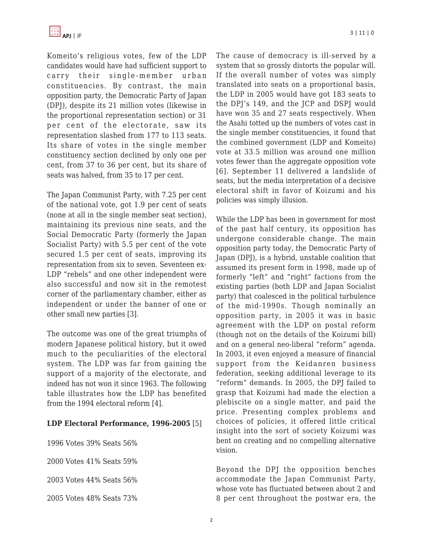Komeito's religious votes, few of the LDP candidates would have had sufficient support to carry their single-member urban constituencies. By contrast, the main opposition party, the Democratic Party of Japan (DPJ), despite its 21 million votes (likewise in the proportional representation section) or 31 per cent of the electorate, saw its representation slashed from 177 to 113 seats. Its share of votes in the single member constituency section declined by only one per cent, from 37 to 36 per cent, but its share of seats was halved, from 35 to 17 per cent.

The Japan Communist Party, with 7.25 per cent of the national vote, got 1.9 per cent of seats (none at all in the single member seat section), maintaining its previous nine seats, and the Social Democratic Party (formerly the Japan Socialist Party) with 5.5 per cent of the vote secured 1.5 per cent of seats, improving its representation from six to seven. Seventeen ex-LDP "rebels" and one other independent were also successful and now sit in the remotest corner of the parliamentary chamber, either as independent or under the banner of one or other small new parties [3].

The outcome was one of the great triumphs of modern Japanese political history, but it owed much to the peculiarities of the electoral system. The LDP was far from gaining the support of a majority of the electorate, and indeed has not won it since 1963. The following table illustrates how the LDP has benefited from the 1994 electoral reform [4].

# **LDP Electoral Performance, 1996-2005** [5]

1996 Votes 39% Seats 56%

2000 Votes 41% Seats 59%

2003 Votes 44% Seats 56%

2005 Votes 48% Seats 73%

The cause of democracy is ill-served by a system that so grossly distorts the popular will. If the overall number of votes was simply translated into seats on a proportional basis, the LDP in 2005 would have got 183 seats to the DPJ's 149, and the JCP and DSPJ would have won 35 and 27 seats respectively. When the Asahi totted up the numbers of votes cast in the single member constituencies, it found that the combined government (LDP and Komeito) vote at 33.5 million was around one million votes fewer than the aggregate opposition vote [6]. September 11 delivered a landslide of seats, but the media interpretation of a decisive electoral shift in favor of Koizumi and his policies was simply illusion.

While the LDP has been in government for most of the past half century, its opposition has undergone considerable change. The main opposition party today, the Democratic Party of Japan (DPJ), is a hybrid, unstable coalition that assumed its present form in 1998, made up of formerly "left" and "right" factions from the existing parties (both LDP and Japan Socialist party) that coalesced in the political turbulence of the mid-1990s. Though nominally an opposition party, in 2005 it was in basic agreement with the LDP on postal reform (though not on the details of the Koizumi bill) and on a general neo-liberal "reform" agenda. In 2003, it even enjoyed a measure of financial support from the Keidanren business federation, seeking additional leverage to its "reform" demands. In 2005, the DPJ failed to grasp that Koizumi had made the election a plebiscite on a single matter, and paid the price. Presenting complex problems and choices of policies, it offered little critical insight into the sort of society Koizumi was bent on creating and no compelling alternative vision.

Beyond the DPJ the opposition benches accommodate the Japan Communist Party, whose vote has fluctuated between about 2 and 8 per cent throughout the postwar era, the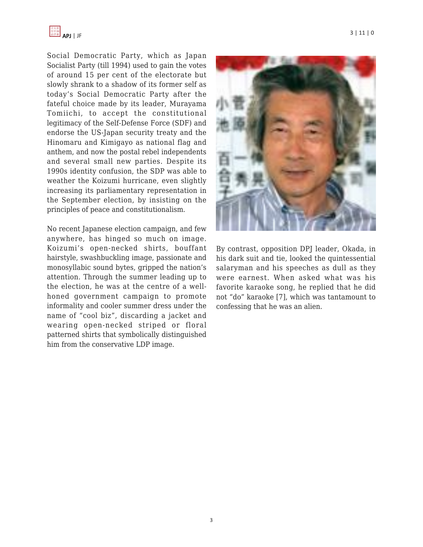

Social Democratic Party, which as Japan Socialist Party (till 1994) used to gain the votes of around 15 per cent of the electorate but slowly shrank to a shadow of its former self as today's Social Democratic Party after the fateful choice made by its leader, Murayama Tomiichi, to accept the constitutional legitimacy of the Self-Defense Force (SDF) and endorse the US-Japan security treaty and the Hinomaru and Kimigayo as national flag and anthem, and now the postal rebel independents and several small new parties. Despite its 1990s identity confusion, the SDP was able to weather the Koizumi hurricane, even slightly increasing its parliamentary representation in the September election, by insisting on the principles of peace and constitutionalism.

No recent Japanese election campaign, and few anywhere, has hinged so much on image. Koizumi's open-necked shirts, bouffant hairstyle, swashbuckling image, passionate and monosyllabic sound bytes, gripped the nation's attention. Through the summer leading up to the election, he was at the centre of a wellhoned government campaign to promote informality and cooler summer dress under the name of "cool biz", discarding a jacket and wearing open-necked striped or floral patterned shirts that symbolically distinguished him from the conservative LDP image.



By contrast, opposition DPJ leader, Okada, in his dark suit and tie, looked the quintessential salaryman and his speeches as dull as they were earnest. When asked what was his favorite karaoke song, he replied that he did not "do" karaoke [7], which was tantamount to confessing that he was an alien.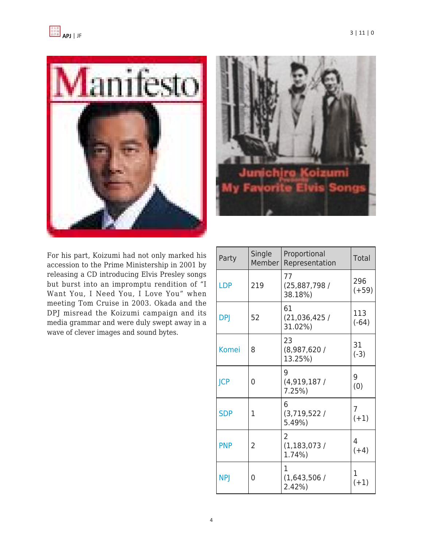



For his part, Koizumi had not only marked his accession to the Prime Ministership in 2001 by releasing a CD introducing Elvis Presley songs but burst into an impromptu rendition of "I Want You, I Need You, I Love You" when meeting Tom Cruise in 2003. Okada and the DPJ misread the Koizumi campaign and its media grammar and were duly swept away in a wave of clever images and sound bytes.

| Party        | Single<br>Member | Proportional<br>Representation            | <b>Total</b>             |
|--------------|------------------|-------------------------------------------|--------------------------|
| <b>LDP</b>   | 219              | 77<br>(25,887,798)<br>38.18%)             | 296<br>$(+59)$           |
| <b>DPJ</b>   | 52               | 61<br>(21,036,425/<br>31.02%)             | 113<br>$(-64)$           |
| <b>Komei</b> | 8                | 23<br>(8,987,620/<br>13.25%)              | 31<br>$(-3)$             |
| <b>JCP</b>   | 0                | 9<br>(4,919,187)<br>7.25%                 | 9<br>(0)                 |
| <b>SDP</b>   | 1                | 6<br>(3, 719, 522)<br>5.49%)              | $\overline{7}$<br>$(+1)$ |
| <b>PNP</b>   | 2                | $\overline{2}$<br>(1, 183, 073)<br>1.74%) | 4<br>$(+4)$              |
| <b>NPJ</b>   | 0                | 1<br>(1,643,506)<br>2.42%                 | 1<br>$(+1)$              |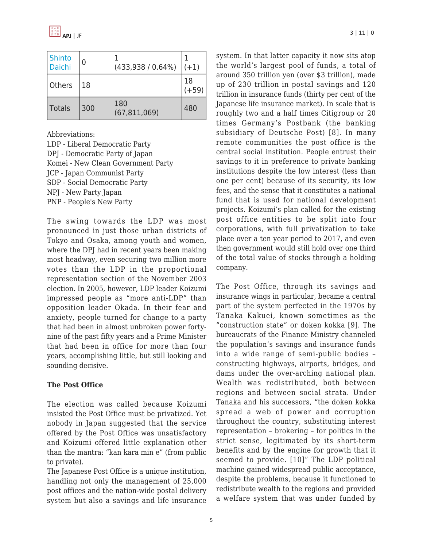| <b>Shinto</b><br><b>Daichi</b> | 0   | (433,938 / 0.64%)     | $(+1)$        |
|--------------------------------|-----|-----------------------|---------------|
| Others                         | 18  |                       | 18<br>$(+59)$ |
| <b>Totals</b>                  | 300 | 180<br>(67, 811, 069) | 480           |

Abbreviations:

LDP - Liberal Democratic Party DPJ - Democratic Party of Japan Komei - New Clean Government Party JCP - Japan Communist Party SDP - Social Democratic Party NPJ - New Party Japan PNP - People's New Party

The swing towards the LDP was most pronounced in just those urban districts of Tokyo and Osaka, among youth and women, where the DPJ had in recent years been making most headway, even securing two million more votes than the LDP in the proportional representation section of the November 2003 election. In 2005, however, LDP leader Koizumi impressed people as "more anti-LDP" than opposition leader Okada. In their fear and anxiety, people turned for change to a party that had been in almost unbroken power fortynine of the past fifty years and a Prime Minister that had been in office for more than four years, accomplishing little, but still looking and sounding decisive.

# **The Post Office**

The election was called because Koizumi insisted the Post Office must be privatized. Yet nobody in Japan suggested that the service offered by the Post Office was unsatisfactory and Koizumi offered little explanation other than the mantra: "kan kara min e" (from public to private).

The Japanese Post Office is a unique institution, handling not only the management of 25,000 post offices and the nation-wide postal delivery system but also a savings and life insurance system. In that latter capacity it now sits atop the world's largest pool of funds, a total of around 350 trillion yen (over \$3 trillion), made up of 230 trillion in postal savings and 120 trillion in insurance funds (thirty per cent of the Japanese life insurance market). In scale that is roughly two and a half times Citigroup or 20 times Germany's Postbank (the banking subsidiary of Deutsche Post) [8]. In many remote communities the post office is the central social institution. People entrust their savings to it in preference to private banking institutions despite the low interest (less than one per cent) because of its security, its low fees, and the sense that it constitutes a national fund that is used for national development projects. Koizumi's plan called for the existing post office entities to be split into four corporations, with full privatization to take place over a ten year period to 2017, and even then government would still hold over one third of the total value of stocks through a holding company.

The Post Office, through its savings and insurance wings in particular, became a central part of the system perfected in the 1970s by Tanaka Kakuei, known sometimes as the "construction state" or doken kokka [9]. The bureaucrats of the Finance Ministry channeled the population's savings and insurance funds into a wide range of semi-public bodies – constructing highways, airports, bridges, and dams under the over-arching national plan. Wealth was redistributed, both between regions and between social strata. Under Tanaka and his successors, "the doken kokka spread a web of power and corruption throughout the country, substituting interest representation – brokering – for politics in the strict sense, legitimated by its short-term benefits and by the engine for growth that it seemed to provide. [10]" The LDP political machine gained widespread public acceptance, despite the problems, because it functioned to redistribute wealth to the regions and provided a welfare system that was under funded by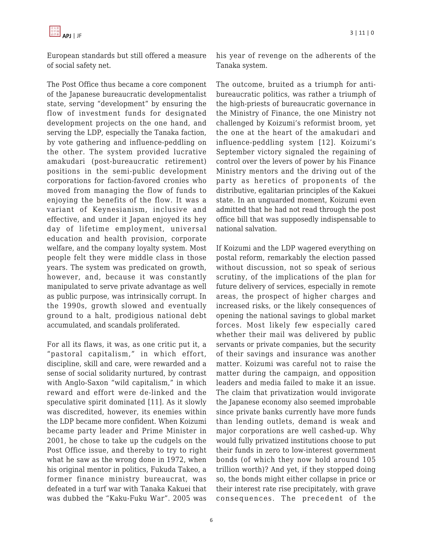

European standards but still offered a measure of social safety net.

The Post Office thus became a core component of the Japanese bureaucratic developmentalist state, serving "development" by ensuring the flow of investment funds for designated development projects on the one hand, and serving the LDP, especially the Tanaka faction, by vote gathering and influence-peddling on the other. The system provided lucrative amakudari (post-bureaucratic retirement) positions in the semi-public development corporations for faction-favored cronies who moved from managing the flow of funds to enjoying the benefits of the flow. It was a variant of Keynesianism, inclusive and effective, and under it Japan enjoyed its hey day of lifetime employment, universal education and health provision, corporate welfare, and the company loyalty system. Most people felt they were middle class in those years. The system was predicated on growth, however, and, because it was constantly manipulated to serve private advantage as well as public purpose, was intrinsically corrupt. In the 1990s, growth slowed and eventually ground to a halt, prodigious national debt accumulated, and scandals proliferated.

For all its flaws, it was, as one critic put it, a "pastoral capitalism," in which effort, discipline, skill and care, were rewarded and a sense of social solidarity nurtured, by contrast with Anglo-Saxon "wild capitalism," in which reward and effort were de-linked and the speculative spirit dominated [11]. As it slowly was discredited, however, its enemies within the LDP became more confident. When Koizumi became party leader and Prime Minister in 2001, he chose to take up the cudgels on the Post Office issue, and thereby to try to right what he saw as the wrong done in 1972, when his original mentor in politics, Fukuda Takeo, a former finance ministry bureaucrat, was defeated in a turf war with Tanaka Kakuei that was dubbed the "Kaku-Fuku War". 2005 was his year of revenge on the adherents of the Tanaka system.

The outcome, bruited as a triumph for antibureaucratic politics, was rather a triumph of the high-priests of bureaucratic governance in the Ministry of Finance, the one Ministry not challenged by Koizumi's reformist broom, yet the one at the heart of the amakudari and influence-peddling system [12]. Koizumi's September victory signaled the regaining of control over the levers of power by his Finance Ministry mentors and the driving out of the party as heretics of proponents of the distributive, egalitarian principles of the Kakuei state. In an unguarded moment, Koizumi even admitted that he had not read through the post office bill that was supposedly indispensable to national salvation.

If Koizumi and the LDP wagered everything on postal reform, remarkably the election passed without discussion, not so speak of serious scrutiny, of the implications of the plan for future delivery of services, especially in remote areas, the prospect of higher charges and increased risks, or the likely consequences of opening the national savings to global market forces. Most likely few especially cared whether their mail was delivered by public servants or private companies, but the security of their savings and insurance was another matter. Koizumi was careful not to raise the matter during the campaign, and opposition leaders and media failed to make it an issue. The claim that privatization would invigorate the Japanese economy also seemed improbable since private banks currently have more funds than lending outlets, demand is weak and major corporations are well cashed-up. Why would fully privatized institutions choose to put their funds in zero to low-interest government bonds (of which they now hold around 105 trillion worth)? And yet, if they stopped doing so, the bonds might either collapse in price or their interest rate rise precipitately, with grave consequences. The precedent of the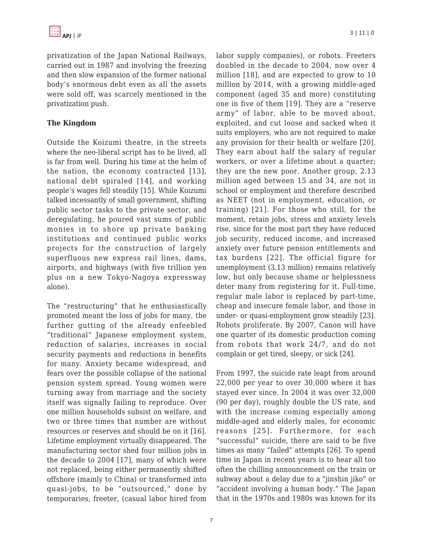privatization of the Japan National Railways, carried out in 1987 and involving the freezing and then slow expansion of the former national body's enormous debt even as all the assets were sold off, was scarcely mentioned in the privatization push.

## **The Kingdom**

Outside the Koizumi theatre, in the streets where the neo-liberal script has to be lived, all is far from well. During his time at the helm of the nation, the economy contracted [13], national debt spiraled [14], and working people's wages fell steadily [15]. While Koizumi talked incessantly of small government, shifting public sector tasks to the private sector, and deregulating, he poured vast sums of public monies in to shore up private banking institutions and continued public works projects for the construction of largely superfluous new express rail lines, dams, airports, and highways (with five trillion yen plus on a new Tokyo-Nagoya expressway alone).

The "restructuring" that he enthusiastically promoted meant the loss of jobs for many, the further gutting of the already enfeebled "traditional" Japanese employment system, reduction of salaries, increases in social security payments and reductions in benefits for many. Anxiety became widespread, and fears over the possible collapse of the national pension system spread. Young women were turning away from marriage and the society itself was signally failing to reproduce. Over one million households subsist on welfare, and two or three times that number are without resources or reserves and should be on it [16]. Lifetime employment virtually disappeared. The manufacturing sector shed four million jobs in the decade to 2004 [17], many of which were not replaced, being either permanently shifted offshore (mainly to China) or transformed into quasi-jobs, to be "outsourced," done by temporaries, freeter, (casual labor hired from labor supply companies), or robots. Freeters doubled in the decade to 2004, now over 4 million [18], and are expected to grow to 10 million by 2014, with a growing middle-aged component (aged 35 and more) constituting one in five of them [19]. They are a "reserve army" of labor, able to be moved about, exploited, and cut loose and sacked when it suits employers, who are not required to make any provision for their health or welfare [20]. They earn about half the salary of regular workers, or over a lifetime about a quarter; they are the new poor. Another group, 2.13 million aged between 15 and 34, are not in school or employment and therefore described as NEET (not in employment, education, or training) [21]. For those who still, for the moment, retain jobs, stress and anxiety levels rise, since for the most part they have reduced job security, reduced income, and increased anxiety over future pension entitlements and tax burdens [22]. The official figure for unemployment (3.13 million) remains relatively low, but only because shame or helplessness deter many from registering for it. Full-time, regular male labor is replaced by part-time, cheap and insecure female labor, and those in under- or quasi-employment grow steadily [23]. Robots proliferate. By 2007, Canon will have one quarter of its domestic production coming from robots that work 24/7, and do not complain or get tired, sleepy, or sick [24].

From 1997, the suicide rate leapt from around 22,000 per year to over 30,000 where it has stayed ever since. In 2004 it was over 32,000 (90 per day), roughly double the US rate, and with the increase coming especially among middle-aged and elderly males, for economic reasons [25]. Furthermore, for each "successful" suicide, there are said to be five times as many "failed" attempts [26]. To spend time in Japan in recent years is to hear all too often the chilling announcement on the train or subway about a delay due to a "jinshin jiko" or "accident involving a human body." The Japan that in the 1970s and 1980s was known for its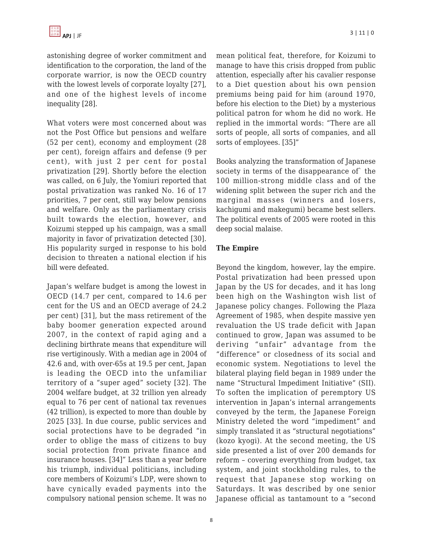astonishing degree of worker commitment and identification to the corporation, the land of the corporate warrior, is now the OECD country with the lowest levels of corporate loyalty [27], and one of the highest levels of income inequality [28].

What voters were most concerned about was not the Post Office but pensions and welfare (52 per cent), economy and employment (28 per cent), foreign affairs and defense (9 per cent), with just 2 per cent for postal privatization [29]. Shortly before the election was called, on 6 July, the Yomiuri reported that postal privatization was ranked No. 16 of 17 priorities, 7 per cent, still way below pensions and welfare. Only as the parliamentary crisis built towards the election, however, and Koizumi stepped up his campaign, was a small majority in favor of privatization detected [30]. His popularity surged in response to his bold decision to threaten a national election if his bill were defeated.

Japan's welfare budget is among the lowest in OECD (14.7 per cent, compared to 14.6 per cent for the US and an OECD average of 24.2 per cent) [31], but the mass retirement of the baby boomer generation expected around 2007, in the context of rapid aging and a declining birthrate means that expenditure will rise vertiginously. With a median age in 2004 of 42.6 and, with over-65s at 19.5 per cent, Japan is leading the OECD into the unfamiliar territory of a "super aged" society [32]. The 2004 welfare budget, at 32 trillion yen already equal to 76 per cent of national tax revenues (42 trillion), is expected to more than double by 2025 [33]. In due course, public services and social protections have to be degraded "in order to oblige the mass of citizens to buy social protection from private finance and insurance houses. [34]" Less than a year before his triumph, individual politicians, including core members of Koizumi's LDP, were shown to have cynically evaded payments into the compulsory national pension scheme. It was no mean political feat, therefore, for Koizumi to manage to have this crisis dropped from public attention, especially after his cavalier response to a Diet question about his own pension premiums being paid for him (around 1970, before his election to the Diet) by a mysterious political patron for whom he did no work. He replied in the immortal words: "There are all sorts of people, all sorts of companies, and all sorts of employees. [35]"

Books analyzing the transformation of Japanese society in terms of the disappearance of` the 100 million-strong middle class and of the widening split between the super rich and the marginal masses (winners and losers, kachigumi and makegumi) became best sellers. The political events of 2005 were rooted in this deep social malaise.

## **The Empire**

Beyond the kingdom, however, lay the empire. Postal privatization had been pressed upon Japan by the US for decades, and it has long been high on the Washington wish list of Japanese policy changes. Following the Plaza Agreement of 1985, when despite massive yen revaluation the US trade deficit with Japan continued to grow, Japan was assumed to be deriving "unfair" advantage from the "difference" or closedness of its social and economic system. Negotiations to level the bilateral playing field began in 1989 under the name "Structural Impediment Initiative" (SII). To soften the implication of peremptory US intervention in Japan's internal arrangements conveyed by the term, the Japanese Foreign Ministry deleted the word "impediment" and simply translated it as "structural negotiations" (kozo kyogi). At the second meeting, the US side presented a list of over 200 demands for reform – covering everything from budget, tax system, and joint stockholding rules, to the request that Japanese stop working on Saturdays. It was described by one senior Japanese official as tantamount to a "second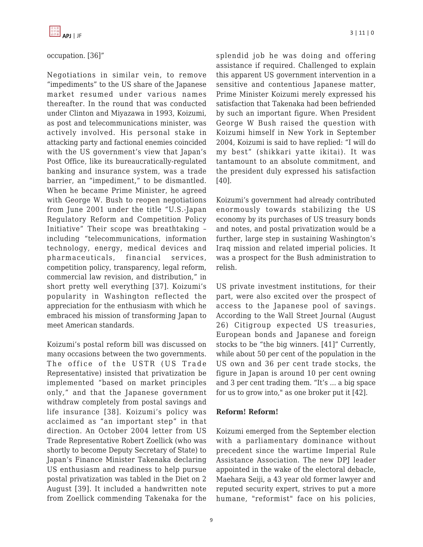## occupation. [36]"

Negotiations in similar vein, to remove "impediments" to the US share of the Japanese market resumed under various names thereafter. In the round that was conducted under Clinton and Miyazawa in 1993, Koizumi, as post and telecommunications minister, was actively involved. His personal stake in attacking party and factional enemies coincided with the US government's view that Japan's Post Office, like its bureaucratically-regulated banking and insurance system, was a trade barrier, an "impediment," to be dismantled. When he became Prime Minister, he agreed with George W. Bush to reopen negotiations from June 2001 under the title "U.S.-Japan Regulatory Reform and Competition Policy Initiative" Their scope was breathtaking – including "telecommunications, information technology, energy, medical devices and pharmaceuticals, financial services, competition policy, transparency, legal reform, commercial law revision, and distribution," in short pretty well everything [37]. Koizumi's popularity in Washington reflected the appreciation for the enthusiasm with which he embraced his mission of transforming Japan to meet American standards.

Koizumi's postal reform bill was discussed on many occasions between the two governments. The office of the USTR (US Trade Representative) insisted that privatization be implemented "based on market principles only," and that the Japanese government withdraw completely from postal savings and life insurance [38]. Koizumi's policy was acclaimed as "an important step" in that direction. An October 2004 letter from US Trade Representative Robert Zoellick (who was shortly to become Deputy Secretary of State) to Japan's Finance Minister Takenaka declaring US enthusiasm and readiness to help pursue postal privatization was tabled in the Diet on 2 August [39]. It included a handwritten note from Zoellick commending Takenaka for the splendid job he was doing and offering assistance if required. Challenged to explain this apparent US government intervention in a sensitive and contentious Japanese matter, Prime Minister Koizumi merely expressed his satisfaction that Takenaka had been befriended by such an important figure. When President George W Bush raised the question with Koizumi himself in New York in September 2004, Koizumi is said to have replied: "I will do my best" (shikkari yatte ikitai). It was tantamount to an absolute commitment, and the president duly expressed his satisfaction [40].

Koizumi's government had already contributed enormously towards stabilizing the US economy by its purchases of US treasury bonds and notes, and postal privatization would be a further, large step in sustaining Washington's Iraq mission and related imperial policies. It was a prospect for the Bush administration to relish.

US private investment institutions, for their part, were also excited over the prospect of access to the Japanese pool of savings. According to the Wall Street Journal (August 26) Citigroup expected US treasuries, European bonds and Japanese and foreign stocks to be "the big winners. [41]" Currently, while about 50 per cent of the population in the US own and 36 per cent trade stocks, the figure in Japan is around 10 per cent owning and 3 per cent trading them. "It's ... a big space for us to grow into," as one broker put it [42].

#### **Reform! Reform!**

Koizumi emerged from the September election with a parliamentary dominance without precedent since the wartime Imperial Rule Assistance Association. The new DPJ leader appointed in the wake of the electoral debacle, Maehara Seiji, a 43 year old former lawyer and reputed security expert, strives to put a more humane, "reformist" face on his policies,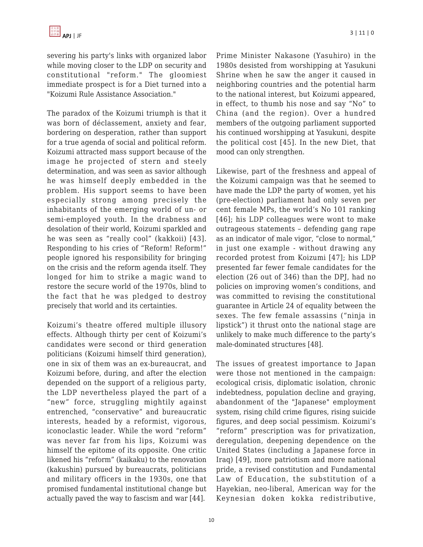severing his party's links with organized labor while moving closer to the LDP on security and constitutional "reform." The gloomiest immediate prospect is for a Diet turned into a "Koizumi Rule Assistance Association."

The paradox of the Koizumi triumph is that it was born of déclassement, anxiety and fear, bordering on desperation, rather than support for a true agenda of social and political reform. Koizumi attracted mass support because of the image he projected of stern and steely determination, and was seen as savior although he was himself deeply embedded in the problem. His support seems to have been especially strong among precisely the inhabitants of the emerging world of un- or semi-employed youth. In the drabness and desolation of their world, Koizumi sparkled and he was seen as "really cool" (kakkoii) [43]. Responding to his cries of "Reform! Reform!" people ignored his responsibility for bringing on the crisis and the reform agenda itself. They longed for him to strike a magic wand to restore the secure world of the 1970s, blind to the fact that he was pledged to destroy precisely that world and its certainties.

Koizumi's theatre offered multiple illusory effects. Although thirty per cent of Koizumi's candidates were second or third generation politicians (Koizumi himself third generation), one in six of them was an ex-bureaucrat, and Koizumi before, during, and after the election depended on the support of a religious party, the LDP nevertheless played the part of a "new" force, struggling mightily against entrenched, "conservative" and bureaucratic interests, headed by a reformist, vigorous, iconoclastic leader. While the word "reform" was never far from his lips, Koizumi was himself the epitome of its opposite. One critic likened his "reform" (kaikaku) to the renovation (kakushin) pursued by bureaucrats, politicians and military officers in the 1930s, one that promised fundamental institutional change but actually paved the way to fascism and war [44].

Prime Minister Nakasone (Yasuhiro) in the 1980s desisted from worshipping at Yasukuni Shrine when he saw the anger it caused in neighboring countries and the potential harm to the national interest, but Koizumi appeared, in effect, to thumb his nose and say "No" to China (and the region). Over a hundred members of the outgoing parliament supported his continued worshipping at Yasukuni, despite the political cost [45]. In the new Diet, that mood can only strengthen.

Likewise, part of the freshness and appeal of the Koizumi campaign was that he seemed to have made the LDP the party of women, yet his (pre-election) parliament had only seven per cent female MPs, the world's No 101 ranking [46]; his LDP colleagues were wont to make outrageous statements – defending gang rape as an indicator of male vigor, "close to normal," in just one example - without drawing any recorded protest from Koizumi [47]; his LDP presented far fewer female candidates for the election (26 out of 346) than the DPJ, had no policies on improving women's conditions, and was committed to revising the constitutional guarantee in Article 24 of equality between the sexes. The few female assassins ("ninja in lipstick") it thrust onto the national stage are unlikely to make much difference to the party's male-dominated structures [48].

The issues of greatest importance to Japan were those not mentioned in the campaign: ecological crisis, diplomatic isolation, chronic indebtedness, population decline and graying, abandonment of the "Japanese" employment system, rising child crime figures, rising suicide figures, and deep social pessimism. Koizumi's "reform" prescription was for privatization, deregulation, deepening dependence on the United States (including a Japanese force in Iraq) [49], more patriotism and more national pride, a revised constitution and Fundamental Law of Education, the substitution of a Hayekian, neo-liberal, American way for the Keynesian doken kokka redistributive,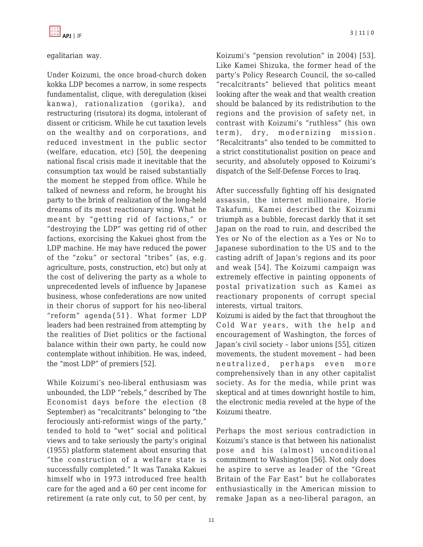

egalitarian way.

Under Koizumi, the once broad-church doken kokka LDP becomes a narrow, in some respects fundamentalist, clique, with deregulation (kisei kanwa), rationalization (gorika), and restructuring (risutora) its dogma, intolerant of dissent or criticism. While he cut taxation levels on the wealthy and on corporations, and reduced investment in the public sector (welfare, education, etc) [50], the deepening national fiscal crisis made it inevitable that the consumption tax would be raised substantially the moment he stepped from office. While he talked of newness and reform, he brought his party to the brink of realization of the long-held dreams of its most reactionary wing. What he meant by "getting rid of factions," or "destroying the LDP" was getting rid of other factions, exorcising the Kakuei ghost from the LDP machine. He may have reduced the power of the "zoku" or sectoral "tribes" (as, e.g. agriculture, posts, construction, etc) but only at the cost of delivering the party as a whole to unprecedented levels of influence by Japanese business, whose confederations are now united in their chorus of support for his neo-liberal "reform" agenda{51}. What former LDP leaders had been restrained from attempting by the realities of Diet politics or the factional balance within their own party, he could now contemplate without inhibition. He was, indeed, the "most LDP" of premiers [52].

While Koizumi's neo-liberal enthusiasm was unbounded, the LDP "rebels," described by The Economist days before the election (8 September) as "recalcitrants" belonging to "the ferociously anti-reformist wings of the party," tended to hold to "wet" social and political views and to take seriously the party's original (1955) platform statement about ensuring that "the construction of a welfare state is successfully completed." It was Tanaka Kakuei himself who in 1973 introduced free health care for the aged and a 60 per cent income for retirement (a rate only cut, to 50 per cent, by Koizumi's "pension revolution" in 2004) [53]. Like Kamei Shizuka, the former head of the party's Policy Research Council, the so-called "recalcitrants" believed that politics meant looking after the weak and that wealth creation should be balanced by its redistribution to the regions and the provision of safety net, in contrast with Koizumi's "ruthless" (his own term), dry, modernizing mission. "Recalcitrants" also tended to be committed to a strict constitutionalist position on peace and security, and absolutely opposed to Koizumi's dispatch of the Self-Defense Forces to Iraq.

After successfully fighting off his designated assassin, the internet millionaire, Horie Takafumi, Kamei described the Koizumi triumph as a bubble, forecast darkly that it set Japan on the road to ruin, and described the Yes or No of the election as a Yes or No to Japanese subordination to the US and to the casting adrift of Japan's regions and its poor and weak [54]. The Koizumi campaign was extremely effective in painting opponents of postal privatization such as Kamei as reactionary proponents of corrupt special interests, virtual traitors.

Koizumi is aided by the fact that throughout the Cold War years, with the help and encouragement of Washington, the forces of Japan's civil society – labor unions [55], citizen movements, the student movement – had been neutralized, perhaps even more comprehensively than in any other capitalist society. As for the media, while print was skeptical and at times downright hostile to him, the electronic media reveled at the hype of the Koizumi theatre.

Perhaps the most serious contradiction in Koizumi's stance is that between his nationalist pose and his (almost) unconditional commitment to Washington [56]. Not only does he aspire to serve as leader of the "Great Britain of the Far East" but he collaborates enthusiastically in the American mission to remake Japan as a neo-liberal paragon, an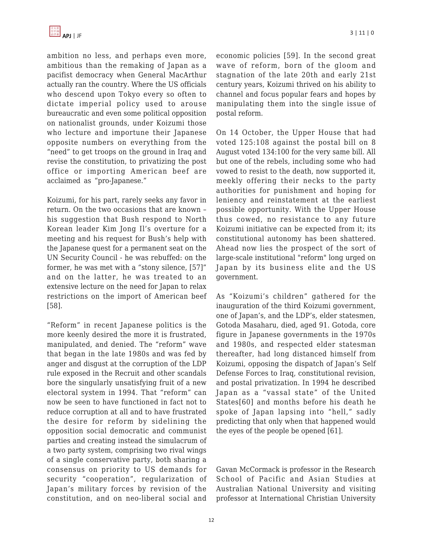ambition no less, and perhaps even more, ambitious than the remaking of Japan as a pacifist democracy when General MacArthur actually ran the country. Where the US officials who descend upon Tokyo every so often to dictate imperial policy used to arouse bureaucratic and even some political opposition on nationalist grounds, under Koizumi those who lecture and importune their Japanese opposite numbers on everything from the "need" to get troops on the ground in Iraq and revise the constitution, to privatizing the post office or importing American beef are acclaimed as "pro-Japanese."

Koizumi, for his part, rarely seeks any favor in return. On the two occasions that are known – his suggestion that Bush respond to North Korean leader Kim Jong Il's overture for a meeting and his request for Bush's help with the Japanese quest for a permanent seat on the UN Security Council - he was rebuffed: on the former, he was met with a "stony silence, [57]" and on the latter, he was treated to an extensive lecture on the need for Japan to relax restrictions on the import of American beef [58].

"Reform" in recent Japanese politics is the more keenly desired the more it is frustrated, manipulated, and denied. The "reform" wave that began in the late 1980s and was fed by anger and disgust at the corruption of the LDP rule exposed in the Recruit and other scandals bore the singularly unsatisfying fruit of a new electoral system in 1994. That "reform" can now be seen to have functioned in fact not to reduce corruption at all and to have frustrated the desire for reform by sidelining the opposition social democratic and communist parties and creating instead the simulacrum of a two party system, comprising two rival wings of a single conservative party, both sharing a consensus on priority to US demands for security "cooperation", regularization of Japan's military forces by revision of the constitution, and on neo-liberal social and economic policies [59]. In the second great wave of reform, born of the gloom and stagnation of the late 20th and early 21st century years, Koizumi thrived on his ability to channel and focus popular fears and hopes by manipulating them into the single issue of postal reform.

On 14 October, the Upper House that had voted 125:108 against the postal bill on 8 August voted 134:100 for the very same bill. All but one of the rebels, including some who had vowed to resist to the death, now supported it, meekly offering their necks to the party authorities for punishment and hoping for leniency and reinstatement at the earliest possible opportunity. With the Upper House thus cowed, no resistance to any future Koizumi initiative can be expected from it; its constitutional autonomy has been shattered. Ahead now lies the prospect of the sort of large-scale institutional "reform" long urged on Japan by its business elite and the US government.

As "Koizumi's children" gathered for the inauguration of the third Koizumi government, one of Japan's, and the LDP's, elder statesmen, Gotoda Masaharu, died, aged 91. Gotoda, core figure in Japanese governments in the 1970s and 1980s, and respected elder statesman thereafter, had long distanced himself from Koizumi, opposing the dispatch of Japan's Self Defense Forces to Iraq, constitutional revision, and postal privatization. In 1994 he described Japan as a "vassal state" of the United States[60] and months before his death he spoke of Japan lapsing into "hell," sadly predicting that only when that happened would the eyes of the people be opened [61].

Gavan McCormack is professor in the Research School of Pacific and Asian Studies at Australian National University and visiting professor at International Christian University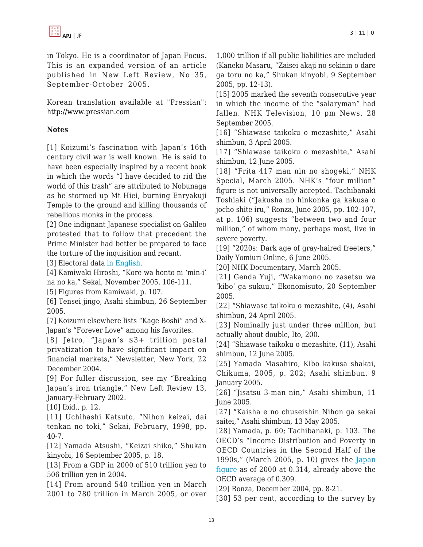in Tokyo. He is a coordinator of Japan Focus. This is an expanded version of an article published in New Left Review, No 35, September-October 2005.

Korean translation available at "Pressian": <http://www.pressian.com>

#### **Notes**

[1] Koizumi's fascination with Japan's 16th century civil war is well known. He is said to have been especially inspired by a recent book in which the words "I have decided to rid the world of this trash" are attributed to Nobunaga as he stormed up Mt Hiei, burning Enryakuji Temple to the ground and killing thousands of rebellious monks in the process.

[2] One indignant Japanese specialist on Galileo protested that to follow that precedent the Prime Minister had better be prepared to face the torture of the inquisition and recant.

[3] Electoral data [in English](http://en.wikipedia.org/wiki/Results_of_Japan_general_election,_2005).

[4] Kamiwaki Hiroshi, "Kore wa honto ni 'min-i' na no ka," Sekai, November 2005, 106-111.

[5] Figures from Kamiwaki, p. 107.

[6] Tensei jingo, Asahi shimbun, 26 September 2005.

[7] Koizumi elsewhere lists "Kage Boshi" and X-Japan's "Forever Love" among his favorites.

[8] Jetro, "Japan's \$3+ trillion postal privatization to have significant impact on financial markets," Newsletter, New York, 22 December 2004.

[9] For fuller discussion, see my "Breaking Japan's iron triangle," New Left Review 13, January-February 2002.

[10] Ibid., p. 12.

[11] Uchihashi Katsuto, "Nihon keizai, dai tenkan no toki," Sekai, February, 1998, pp. 40-7.

[12] Yamada Atsushi, "Keizai shiko," Shukan kinyobi, 16 September 2005, p. 18.

[13] From a GDP in 2000 of 510 trillion yen to 506 trillion yen in 2004.

[14] From around 540 trillion yen in March 2001 to 780 trillion in March 2005, or over

1,000 trillion if all public liabilities are included (Kaneko Masaru, "Zaisei akaji no sekinin o dare ga toru no ka," Shukan kinyobi, 9 September 2005, pp. 12-13).

[15] 2005 marked the seventh consecutive year in which the income of the "salaryman" had fallen. NHK Television, 10 pm News, 28 September 2005.

[16] "Shiawase taikoku o mezashite," Asahi shimbun, 3 April 2005.

[17] "Shiawase taikoku o mezashite," Asahi shimbun, 12 June 2005.

[18] "Frita 417 man nin no shogeki," NHK Special, March 2005. NHK's "four million" figure is not universally accepted. Tachibanaki Toshiaki ("Jakusha no hinkonka ga kakusa o jocho shite iru," Ronza, June 2005, pp. 102-107, at p. 106) suggests "between two and four million," of whom many, perhaps most, live in severe poverty.

[19] "2020s: Dark age of gray-haired freeters," Daily Yomiuri Online, 6 June 2005.

[20] NHK Documentary, March 2005.

[21] Genda Yuji, "Wakamono no zasetsu wa 'kibo' ga sukuu," Ekonomisuto, 20 September 2005.

[22] "Shiawase taikoku o mezashite, (4), Asahi shimbun, 24 April 2005.

[23] Nominally just under three million, but actually about double, Ito, 200.

[24] "Shiawase taikoku o mezashite, (11), Asahi shimbun, 12 June 2005.

[25] Yamada Masahiro, Kibo kakusa shakai, Chikuma, 2005, p. 202; Asahi shimbun, 9 January 2005.

[26] "Jisatsu 3-man nin," Asahi shimbun, 11 June 2005.

[27] "Kaisha e no chuseishin Nihon ga sekai saitei," Asahi shimbun, 13 May 2005.

[28] Yamada, p. 60; Tachibanaki, p. 103. The OECD's "Income Distribution and Poverty in OECD Countries in the Second Half of the 1990s," (March 2005, p. 10) gives the [Japan](http://www.oecd.org/dataoecd/48/9/34483698.pdf) [figure](http://www.oecd.org/dataoecd/48/9/34483698.pdf) as of 2000 at 0.314, already above the OECD average of 0.309.

[29] Ronza, December 2004, pp. 8-21.

[30] 53 per cent, according to the survey by